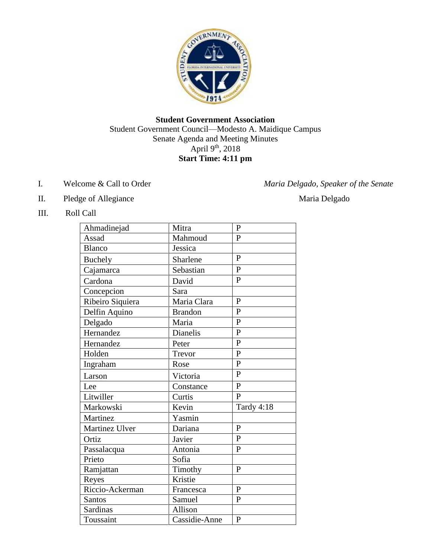

## **Student Government Association** Student Government Council—Modesto A. Maidique Campus Senate Agenda and Meeting Minutes April 9<sup>th</sup>, 2018 **Start Time: 4:11 pm**

I. Welcome & Call to Order *Maria Delgado, Speaker of the Senate* 

- II. Pledge of Allegiance Maria Delgado
- III. Roll Call

| Ahmadinejad      | Mitra          | $\mathbf{P}$   |
|------------------|----------------|----------------|
| Assad            | Mahmoud        | $\mathbf{P}$   |
| <b>Blanco</b>    | Jessica        |                |
| <b>Buchely</b>   | Sharlene       | $\mathbf{P}$   |
| Cajamarca        | Sebastian      | $\overline{P}$ |
| Cardona          | David          | $\mathbf{P}$   |
| Concepcion       | Sara           |                |
| Ribeiro Siquiera | Maria Clara    | $\mathbf{P}$   |
| Delfin Aquino    | <b>Brandon</b> | $\mathbf{P}$   |
| Delgado          | Maria          | $\mathbf{P}$   |
| Hernandez        | Dianelis       | $\mathbf{P}$   |
| Hernandez        | Peter          | $\overline{P}$ |
| Holden           | Trevor         | $\mathbf{P}$   |
| Ingraham         | Rose           | $\overline{P}$ |
| Larson           | Victoria       | $\overline{P}$ |
| Lee              | Constance      | $\mathbf{P}$   |
| Litwiller        | Curtis         | $\overline{P}$ |
| Markowski        | Kevin          | Tardy 4:18     |
| Martinez         | Yasmin         |                |
| Martinez Ulver   | Dariana        | $\overline{P}$ |
| Ortiz            | Javier         | $\mathbf{P}$   |
| Passalacqua      | Antonia        | $\mathbf{P}$   |
| Prieto           | Sofia          |                |
| Ramjattan        | Timothy        | $\mathbf{P}$   |
| Reyes            | Kristie        |                |
| Riccio-Ackerman  | Francesca      | $\mathbf{P}$   |
| Santos           | Samuel         | $\mathbf{P}$   |
| Sardinas         | Allison        |                |
| Toussaint        | Cassidie-Anne  | $\mathbf{P}$   |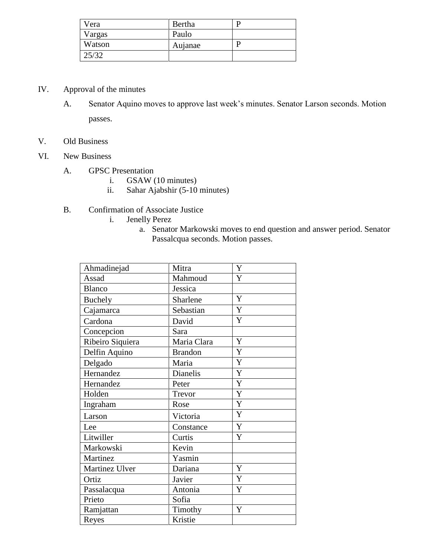| Vera   | Bertha  |  |
|--------|---------|--|
| Vargas | Paulo   |  |
| Watson | Aujanae |  |
| 25/32  |         |  |

- IV. Approval of the minutes
	- A. Senator Aquino moves to approve last week's minutes. Senator Larson seconds. Motion passes.
- V. Old Business
- VI. New Business
	- A. GPSC Presentation
		- i. GSAW (10 minutes)
		- ii. Sahar Ajabshir (5-10 minutes)
	- B. Confirmation of Associate Justice
		- i. Jenelly Perez
			- a. Senator Markowski moves to end question and answer period. Senator Passalcqua seconds. Motion passes.

| Ahmadinejad      | Mitra          | $\mathbf Y$ |
|------------------|----------------|-------------|
| Assad            | Mahmoud        | Y           |
| <b>Blanco</b>    | Jessica        |             |
| <b>Buchely</b>   | Sharlene       | $\mathbf Y$ |
| Cajamarca        | Sebastian      | $\mathbf Y$ |
| Cardona          | David          | Y           |
| Concepcion       | Sara           |             |
| Ribeiro Siquiera | Maria Clara    | Y           |
| Delfin Aquino    | <b>Brandon</b> | $\mathbf Y$ |
| Delgado          | Maria          | $\mathbf Y$ |
| Hernandez        | Dianelis       | Y           |
| Hernandez        | Peter          | Y           |
| Holden           | Trevor         | Y           |
| Ingraham         | Rose           | $\mathbf Y$ |
| Larson           | Victoria       | $\mathbf Y$ |
| Lee              | Constance      | $\mathbf Y$ |
| Litwiller        | Curtis         | Y           |
| Markowski        | Kevin          |             |
| Martinez         | Yasmin         |             |
| Martinez Ulver   | Dariana        | $\mathbf Y$ |
| Ortiz            | Javier         | Y           |
| Passalacqua      | Antonia        | Y           |
| Prieto           | Sofia          |             |
| Ramjattan        | Timothy        | Y           |
| Reyes            | Kristie        |             |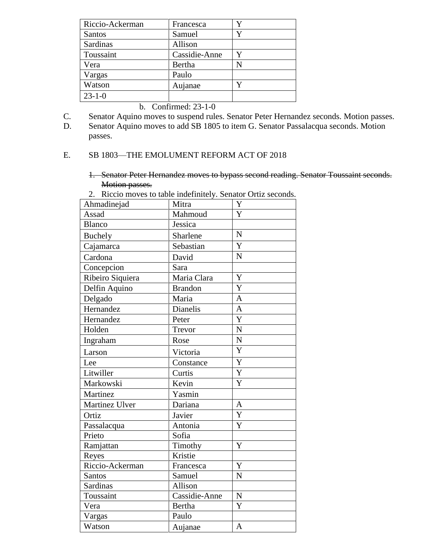| Riccio-Ackerman | Francesca          | Y |
|-----------------|--------------------|---|
| Santos          | Samuel             | Y |
| Sardinas        | Allison            |   |
| Toussaint       | Cassidie-Anne      | Y |
| Vera            | Bertha             | N |
| Vargas          | Paulo              |   |
| Watson          | Aujanae            | Y |
| $23 - 1 - 0$    |                    |   |
| п.<br>$\sim$    | $\sim$<br>1.22.1.0 |   |

b. Confirmed: 23-1-0

- C. Senator Aquino moves to suspend rules. Senator Peter Hernandez seconds. Motion passes.
- D. Senator Aquino moves to add SB 1805 to item G. Senator Passalacqua seconds. Motion passes.

#### E. SB 1803—THE EMOLUMENT REFORM ACT OF 2018

1. Senator Peter Hernandez moves to bypass second reading. Senator Toussaint seconds. Motion passes.

| Ahmadinejad      | Mitra          | Y                     |
|------------------|----------------|-----------------------|
| Assad            | Mahmoud        | Y                     |
| <b>Blanco</b>    | Jessica        |                       |
| <b>Buchely</b>   | Sharlene       | N                     |
| Cajamarca        | Sebastian      | Y                     |
| Cardona          | David          | N                     |
| Concepcion       | Sara           |                       |
| Ribeiro Siquiera | Maria Clara    | $\overline{Y}$        |
| Delfin Aquino    | <b>Brandon</b> | $\overline{\text{Y}}$ |
| Delgado          | Maria          | $\overline{A}$        |
| Hernandez        | Dianelis       | $\overline{A}$        |
| Hernandez        | Peter          | Y                     |
| Holden           | Trevor         | $\overline{N}$        |
| Ingraham         | Rose           | $\overline{N}$        |
| Larson           | Victoria       | Y                     |
| Lee              | Constance      | Y                     |
| Litwiller        | Curtis         | Y                     |
| Markowski        | Kevin          | Y                     |
| Martinez         | Yasmin         |                       |
| Martinez Ulver   | Dariana        | $\mathbf{A}$          |
| Ortiz            | Javier         | $\overline{\text{Y}}$ |
| Passalacqua      | Antonia        | Y                     |
| Prieto           | Sofia          |                       |
| Ramjattan        | Timothy        | Y                     |
| Reyes            | Kristie        |                       |
| Riccio-Ackerman  | Francesca      | Y                     |
| Santos           | Samuel         | $\mathbf N$           |
| Sardinas         | Allison        |                       |
| Toussaint        | Cassidie-Anne  | N                     |
| Vera             | Bertha         | $\overline{\text{Y}}$ |
| Vargas           | Paulo          |                       |
| Watson           | Aujanae        | $\overline{A}$        |

2. Riccio moves to table indefinitely. Senator Ortiz seconds.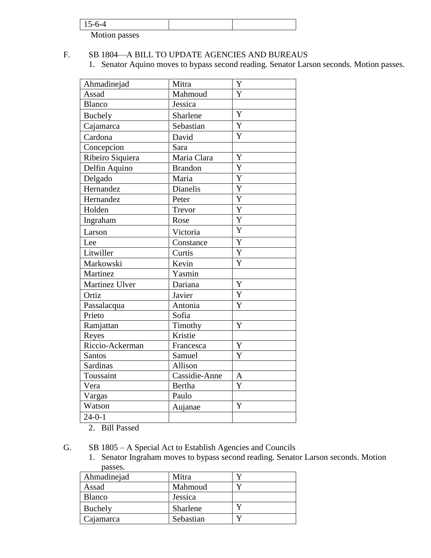| $\sim$ $\sim$  |  |
|----------------|--|
| M <sub>0</sub> |  |

Motion passes

# F. SB 1804—A BILL TO UPDATE AGENCIES AND BUREAUS

1. Senator Aquino moves to bypass second reading. Senator Larson seconds. Motion passes.

| Ahmadinejad        | Mitra          | Y                     |
|--------------------|----------------|-----------------------|
| Assad              | Mahmoud        | Ý                     |
| <b>Blanco</b>      | Jessica        |                       |
| Buchely            | Sharlene       | Y                     |
| Cajamarca          | Sebastian      | Y                     |
| Cardona            | David          | Y                     |
| Concepcion         | Sara           |                       |
| Ribeiro Siquiera   | Maria Clara    | Y                     |
| Delfin Aquino      | <b>Brandon</b> | $\overline{\text{Y}}$ |
| Delgado            | Maria          | $\overline{Y}$        |
| Hernandez          | Dianelis       | $\overline{Y}$        |
| Hernandez          | Peter          | $\overline{Y}$        |
| Holden             | Trevor         | Y                     |
| Ingraham           | Rose           | $\overline{\text{Y}}$ |
| Larson             | Victoria       | Y                     |
| Lee                | Constance      | Y                     |
| Litwiller          | Curtis         | Y                     |
| Markowski          | Kevin          | Y                     |
| Martinez           | Yasmin         |                       |
| Martinez Ulver     | Dariana        | Y                     |
| Ortiz              | Javier         | $\overline{Y}$        |
| Passalacqua        | Antonia        | Y                     |
| Prieto             | Sofia          |                       |
| Ramjattan          | Timothy        | Y                     |
| Reyes              | Kristie        |                       |
| Riccio-Ackerman    | Francesca      | Y                     |
| <b>Santos</b>      | Samuel         | Y                     |
| <b>Sardinas</b>    | Allison        |                       |
| Toussaint          | Cassidie-Anne  | $\mathbf{A}$          |
| Vera               | <b>Bertha</b>  | Y                     |
| Vargas             | Paulo          |                       |
| Watson             | Aujanae        | Y                     |
| $\frac{1}{24-0-1}$ |                |                       |

2. Bill Passed

G. SB 1805 – A Special Act to Establish Agencies and Councils

1. Senator Ingraham moves to bypass second reading. Senator Larson seconds. Motion passes.

| Ahmadinejad   | Mitra     |  |
|---------------|-----------|--|
| Assad         | Mahmoud   |  |
| <b>Blanco</b> | Jessica   |  |
| Buchely       | Sharlene  |  |
| Cajamarca     | Sebastian |  |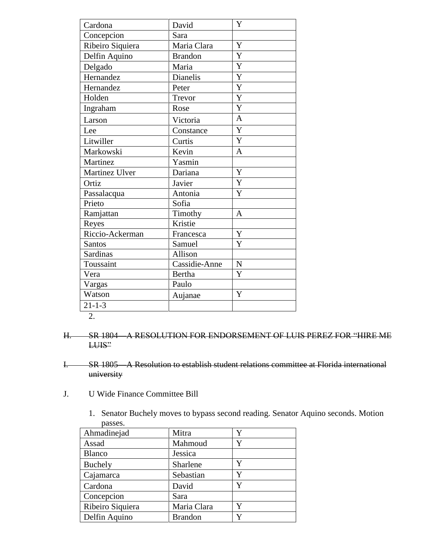| Cardona          | David           | Y              |
|------------------|-----------------|----------------|
| Concepcion       | Sara            |                |
| Ribeiro Siquiera | Maria Clara     | Y              |
| Delfin Aquino    | <b>Brandon</b>  | Y              |
| Delgado          | Maria           | $\overline{Y}$ |
| Hernandez        | <b>Dianelis</b> | $\overline{Y}$ |
| Hernandez        | Peter           | Y              |
| Holden           | Trevor          | Y              |
| Ingraham         | Rose            | $\overline{Y}$ |
| Larson           | Victoria        | $\overline{A}$ |
| Lee              | Constance       | Y              |
| Litwiller        | Curtis          | $\mathbf Y$    |
| Markowski        | Kevin           | $\overline{A}$ |
| Martinez         | Yasmin          |                |
| Martinez Ulver   | Dariana         | $\overline{Y}$ |
| Ortiz            | Javier          | Y              |
| Passalacqua      | Antonia         | Y              |
| Prieto           | Sofia           |                |
| Ramjattan        | Timothy         | A              |
| Reyes            | Kristie         |                |
| Riccio-Ackerman  | Francesca       | $\mathbf Y$    |
| <b>Santos</b>    | Samuel          | Y              |
| <b>Sardinas</b>  | Allison         |                |
| Toussaint        | Cassidie-Anne   | $\overline{N}$ |
| Vera             | <b>Bertha</b>   | Y              |
| Vargas           | Paulo           |                |
| Watson           | Aujanae         | Y              |
| $21 - 1 - 3$     |                 |                |
| 2.               |                 |                |

H. SR 1804—A RESOLUTION FOR ENDORSEMENT OF LUIS PEREZ FOR "HIRE ME LUIS"

I. SR 1805—A Resolution to establish student relations committee at Florida international university

- J. U Wide Finance Committee Bill
	- 1. Senator Buchely moves to bypass second reading. Senator Aquino seconds. Motion passes.

| Ahmadinejad      | Mitra          | Y |
|------------------|----------------|---|
| Assad            | Mahmoud        | Y |
| <b>Blanco</b>    | Jessica        |   |
| Buchely          | Sharlene       | Y |
| Cajamarca        | Sebastian      | Y |
| Cardona          | David          | Y |
| Concepcion       | Sara           |   |
| Ribeiro Siquiera | Maria Clara    |   |
| Delfin Aquino    | <b>Brandon</b> | Y |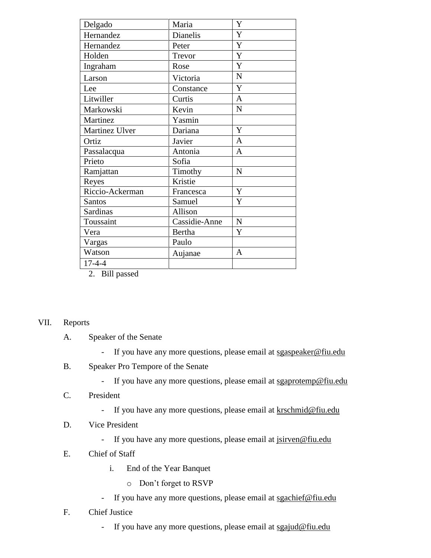| Delgado         | Maria         | Y            |
|-----------------|---------------|--------------|
| Hernandez       | Dianelis      | Y            |
| Hernandez       | Peter         | Y            |
| Holden          | Trevor        | Y            |
| Ingraham        | Rose          | Y            |
| Larson          | Victoria      | $\mathbf N$  |
| Lee             | Constance     | Y            |
| Litwiller       | Curtis        | $\mathbf{A}$ |
| Markowski       | Kevin         | N            |
| Martinez        | Yasmin        |              |
| Martinez Ulver  | Dariana       | Y            |
| Ortiz           | Javier        | A            |
| Passalacqua     | Antonia       | A            |
| Prieto          | Sofia         |              |
| Ramjattan       | Timothy       | N            |
| Reyes           | Kristie       |              |
| Riccio-Ackerman | Francesca     | Y            |
| Santos          | Samuel        | Y            |
| Sardinas        | Allison       |              |
| Toussaint       | Cassidie-Anne | $\mathbf N$  |
| Vera            | Bertha        | Y            |
| Vargas          | Paulo         |              |
| Watson          | Aujanae       | A            |
| $17 - 4 - 4$    |               |              |
|                 |               |              |

2. Bill passed

### VII. Reports

- A. Speaker of the Senate
	- If you have any more questions, please email at sgaspeaker@fiu.edu
- B. Speaker Pro Tempore of the Senate
	- If you have any more questions, please email at sgaprotemp@fiu.edu

## C. President

- If you have any more questions, please email at krschmid@fiu.edu
- D. Vice President
	- If you have any more questions, please email at jsirven@fiu.edu
- E. Chief of Staff
	- i. End of the Year Banquet
		- o Don't forget to RSVP
	- If you have any more questions, please email at sgachief@fiu.edu
- F. Chief Justice
	- If you have any more questions, please email at sgajud@fiu.edu